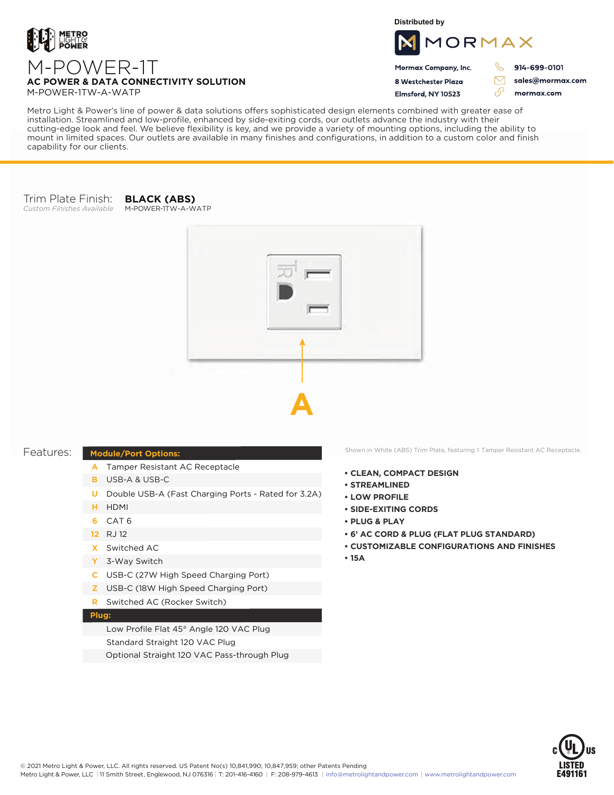

M-POWER-1TW-A-WATP

capability for our clients.

**Distributed by**



Mormax Company, Inc. 8 Westchester Plaza

Elmsford, NY 10523

914-699-0101

ת

 $\triangledown$ 

76

sales@mormax.com mormax.com

Metro Light & Power's line of power & data solutions offers sophisticated design elements combined with greater ease of installation. Streamlined and low-profile, enhanced by side-exiting cords, our outlets advance the industry with their cutting-edge look and feel. We believe flexibility is key, and we provide a variety of mounting options, including the ability to mount in limited spaces. Our outlets are available in many finishes and configurations, in addition to a custom color and finish

## Trim Plate Finish:

*Custom Finishes Available* M-POWER-1TW-A-WATP

**BLACK (ABS)**



## **Module/Port Options:**

- A Tamper Resistant AC Receptacle
- USB-A & USB-C **B**
- U Double USB-A (Fast Charging Ports Rated for 3.2A)
- HDMI **H**
- CAT 6 **6**
- 12 RJ 12
- Switched AC **X**
- 3-Way Switch **Y**
- USB-C (27W High Speed Charging Port) **C**
- USB-C (18W High Speed Charging Port) **Z**
- Switched AC (Rocker Switch) **R**

## **Plug:**

Low Profile Flat 45° Angle 120 VAC Plug Standard Straight 120 VAC Plug Optional Straight 120 VAC Pass-through Plug

Features: Module/Port Options: Shown in White (ABS) Trim Plate, featuring 1 Tamper Resistant AC Receptacle.

- **• CLEAN, COMPACT DESIGN**
- **• STREAMLINED**
- **• LOW PROFILE**
- **• SIDE-EXITING CORDS**
- **• PLUG & PLAY**
- **• 6' AC CORD & PLUG (FLAT PLUG STANDARD)**
- **• CUSTOMIZABLE CONFIGURATIONS AND FINISHES**
- **• 15A**